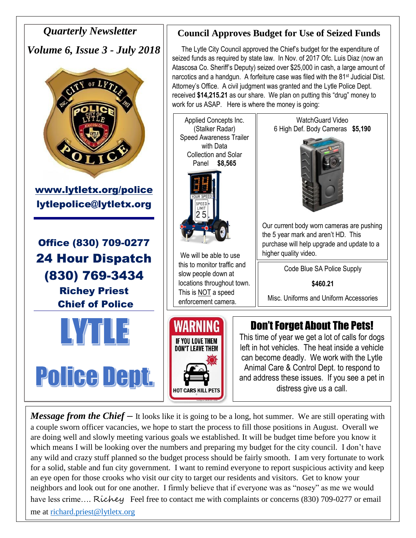

*Message from the Chief* – It looks like it is going to be a long, hot summer. We are still operating with a couple sworn officer vacancies, we hope to start the process to fill those positions in August. Overall we are doing well and slowly meeting various goals we established. It will be budget time before you know it which means I will be looking over the numbers and preparing my budget for the city council. I don't have any wild and crazy stuff planned so the budget process should be fairly smooth. I am very fortunate to work for a solid, stable and fun city government. I want to remind everyone to report suspicious activity and keep an eye open for those crooks who visit our city to target our residents and visitors. Get to know your neighbors and look out for one another. I firmly believe that if everyone was as "nosey" as me we would have less crime.... Richey Feel free to contact me with complaints or concerns (830) 709-0277 or email me at [richard.priest@lytletx.org](mailto:richard.priest@lytletx.org)